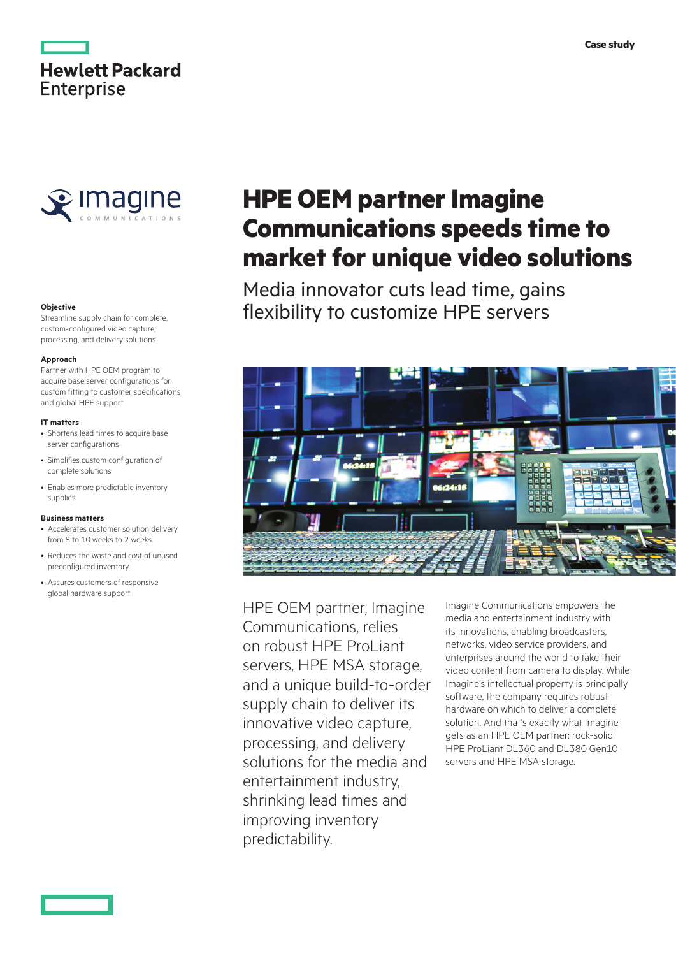

**Hewlett Packard** 

**Enterprise** 

Streamline supply chain for complete, custom-configured video capture, processing, and delivery solutions

## **Approach**

Partner with HPE OEM program to acquire base server configurations for custom fitting to customer specifications and global HPE support

#### **IT matters**

- Shortens lead times to acquire base server configurations
- Simplifies custom configuration of complete solutions
- Enables more predictable inventory supplies

## **Business matters**

- Accelerates customer solution delivery from 8 to 10 weeks to 2 weeks
- Reduces the waste and cost of unused preconfigured inventory
- Assures customers of responsive global hardware support

# **HPE OEM partner Imagine Communications speeds time to market for unique video solutions**

Media innovator cuts lead time, gains **Objective**<br>Streamline supply chain for complete.<br>**Texibility to customize HPE servers** 



HPE OEM partner, Imagine Communications, relies on robust HPE ProLiant servers, HPE MSA storage, and a unique build-to-order supply chain to deliver its innovative video capture, processing, and delivery solutions for the media and entertainment industry, shrinking lead times and improving inventory predictability.

Imagine Communications empowers the media and entertainment industry with its innovations, enabling broadcasters, networks, video service providers, and enterprises around the world to take their video content from camera to display. While Imagine's intellectual property is principally software, the company requires robust hardware on which to deliver a complete solution. And that's exactly what Imagine gets as an HPE OEM partner: rock-solid HPE ProLiant DL360 and DL380 Gen10 servers and HPE MSA storage.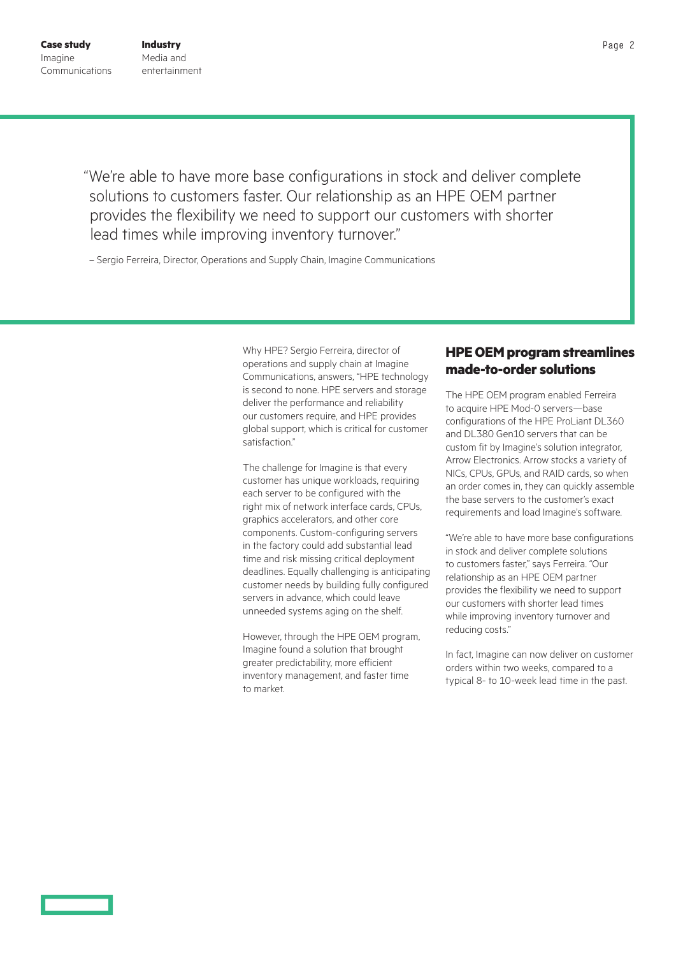"We're able to have more base configurations in stock and deliver complete solutions to customers faster. Our relationship as an HPE OEM partner provides the flexibility we need to support our customers with shorter lead times while improving inventory turnover."

– Sergio Ferreira, Director, Operations and Supply Chain, Imagine Communications

Why HPE? Sergio Ferreira, director of operations and supply chain at Imagine Communications, answers, "HPE technology is second to none. HPE servers and storage deliver the performance and reliability our customers require, and HPE provides global support, which is critical for customer satisfaction."

The challenge for Imagine is that every customer has unique workloads, requiring each server to be configured with the right mix of network interface cards, CPUs, graphics accelerators, and other core components. Custom-configuring servers in the factory could add substantial lead time and risk missing critical deployment deadlines. Equally challenging is anticipating customer needs by building fully configured servers in advance, which could leave unneeded systems aging on the shelf.

However, through the HPE OEM program, Imagine found a solution that brought greater predictability, more efficient inventory management, and faster time to market.

## **HPE OEM program streamlines made‑to‑order solutions**

The HPE OEM program enabled Ferreira to acquire HPE Mod-0 servers—base configurations of the HPE ProLiant DL360 and DL380 Gen10 servers that can be custom fit by Imagine's solution integrator, Arrow Electronics. Arrow stocks a variety of NICs, CPUs, GPUs, and RAID cards, so when an order comes in, they can quickly assemble the base servers to the customer's exact requirements and load Imagine's software.

"We're able to have more base configurations in stock and deliver complete solutions to customers faster," says Ferreira. "Our relationship as an HPE OEM partner provides the flexibility we need to support our customers with shorter lead times while improving inventory turnover and reducing costs."

In fact, Imagine can now deliver on customer orders within two weeks, compared to a typical 8- to 10-week lead time in the past.